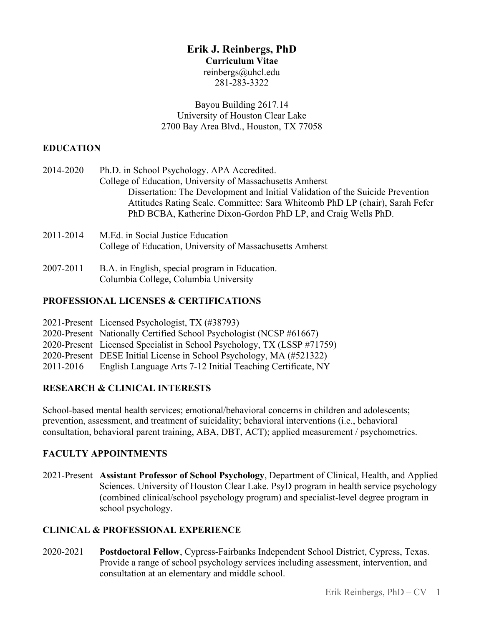# **Erik J. Reinbergs, PhD**

#### **Curriculum Vitae**

reinbergs@uhcl.edu 281-283-3322

Bayou Building 2617.14 University of Houston Clear Lake 2700 Bay Area Blvd., Houston, TX 77058

### **EDUCATION**

| 2014-2020 | Ph.D. in School Psychology. APA Accredited.<br>College of Education, University of Massachusetts Amherst                                                                                                                        |
|-----------|---------------------------------------------------------------------------------------------------------------------------------------------------------------------------------------------------------------------------------|
|           | Dissertation: The Development and Initial Validation of the Suicide Prevention<br>Attitudes Rating Scale. Committee: Sara Whitcomb PhD LP (chair), Sarah Fefer<br>PhD BCBA, Katherine Dixon-Gordon PhD LP, and Craig Wells PhD. |
| 2011-2014 | M.Ed. in Social Justice Education<br>College of Education, University of Massachusetts Amherst                                                                                                                                  |
| 2007-2011 | B.A. in English, special program in Education.<br>Columbia College, Columbia University                                                                                                                                         |

## **PROFESSIONAL LICENSES & CERTIFICATIONS**

|           | 2021-Present Licensed Psychologist, TX (#38793)                         |
|-----------|-------------------------------------------------------------------------|
|           | 2020-Present Nationally Certified School Psychologist (NCSP #61667)     |
|           | 2020-Present Licensed Specialist in School Psychology, TX (LSSP #71759) |
|           | 2020-Present DESE Initial License in School Psychology, MA (#521322)    |
| 2011-2016 | English Language Arts 7-12 Initial Teaching Certificate, NY             |

# **RESEARCH & CLINICAL INTERESTS**

School-based mental health services; emotional/behavioral concerns in children and adolescents; prevention, assessment, and treatment of suicidality; behavioral interventions (i.e., behavioral consultation, behavioral parent training, ABA, DBT, ACT); applied measurement / psychometrics.

# **FACULTY APPOINTMENTS**

2021-Present **Assistant Professor of School Psychology**, Department of Clinical, Health, and Applied Sciences. University of Houston Clear Lake. PsyD program in health service psychology (combined clinical/school psychology program) and specialist-level degree program in school psychology.

# **CLINICAL & PROFESSIONAL EXPERIENCE**

2020-2021 **Postdoctoral Fellow**, Cypress-Fairbanks Independent School District, Cypress, Texas. Provide a range of school psychology services including assessment, intervention, and consultation at an elementary and middle school.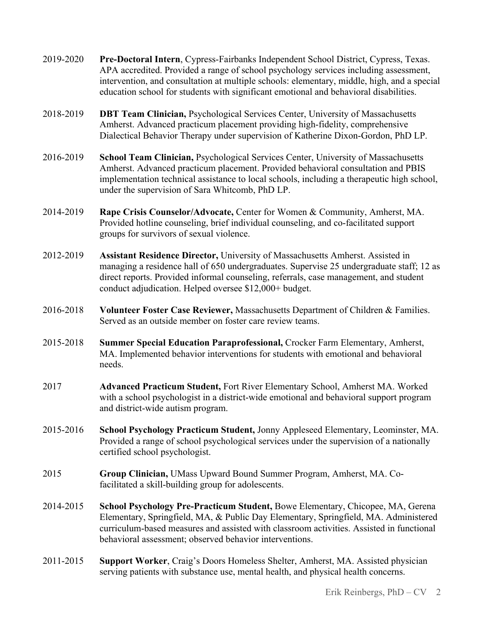- 2019-2020 **Pre-Doctoral Intern**, Cypress-Fairbanks Independent School District, Cypress, Texas. APA accredited. Provided a range of school psychology services including assessment, intervention, and consultation at multiple schools: elementary, middle, high, and a special education school for students with significant emotional and behavioral disabilities.
- 2018-2019 **DBT Team Clinician,** Psychological Services Center, University of Massachusetts Amherst. Advanced practicum placement providing high-fidelity, comprehensive Dialectical Behavior Therapy under supervision of Katherine Dixon-Gordon, PhD LP.
- 2016-2019 **School Team Clinician,** Psychological Services Center, University of Massachusetts Amherst. Advanced practicum placement. Provided behavioral consultation and PBIS implementation technical assistance to local schools, including a therapeutic high school, under the supervision of Sara Whitcomb, PhD LP.
- 2014-2019 **Rape Crisis Counselor/Advocate,** Center for Women & Community, Amherst, MA. Provided hotline counseling, brief individual counseling, and co-facilitated support groups for survivors of sexual violence.
- 2012-2019 **Assistant Residence Director,** University of Massachusetts Amherst. Assisted in managing a residence hall of 650 undergraduates. Supervise 25 undergraduate staff; 12 as direct reports. Provided informal counseling, referrals, case management, and student conduct adjudication. Helped oversee \$12,000+ budget.
- 2016-2018 **Volunteer Foster Case Reviewer,** Massachusetts Department of Children & Families. Served as an outside member on foster care review teams.
- 2015-2018 **Summer Special Education Paraprofessional,** Crocker Farm Elementary, Amherst, MA. Implemented behavior interventions for students with emotional and behavioral needs.
- 2017 **Advanced Practicum Student,** Fort River Elementary School, Amherst MA. Worked with a school psychologist in a district-wide emotional and behavioral support program and district-wide autism program.
- 2015-2016 **School Psychology Practicum Student,** Jonny Appleseed Elementary, Leominster, MA. Provided a range of school psychological services under the supervision of a nationally certified school psychologist.
- 2015 **Group Clinician,** UMass Upward Bound Summer Program, Amherst, MA. Cofacilitated a skill-building group for adolescents.
- 2014-2015 **School Psychology Pre-Practicum Student,** Bowe Elementary, Chicopee, MA, Gerena Elementary, Springfield, MA, & Public Day Elementary, Springfield, MA. Administered curriculum-based measures and assisted with classroom activities. Assisted in functional behavioral assessment; observed behavior interventions.
- 2011-2015 **Support Worker**, Craig's Doors Homeless Shelter, Amherst, MA. Assisted physician serving patients with substance use, mental health, and physical health concerns.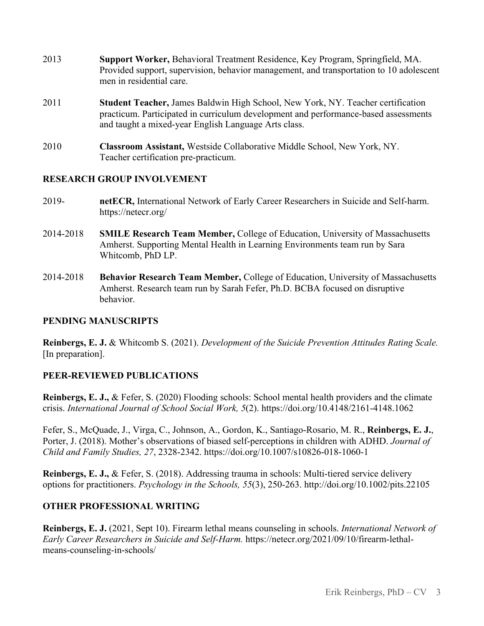- 2013 **Support Worker,** Behavioral Treatment Residence, Key Program, Springfield, MA. Provided support, supervision, behavior management, and transportation to 10 adolescent men in residential care.
- 2011 **Student Teacher,** James Baldwin High School, New York, NY. Teacher certification practicum. Participated in curriculum development and performance-based assessments and taught a mixed-year English Language Arts class.
- 2010 **Classroom Assistant,** Westside Collaborative Middle School, New York, NY. Teacher certification pre-practicum.

#### **RESEARCH GROUP INVOLVEMENT**

- 2019- **netECR,** International Network of Early Career Researchers in Suicide and Self-harm. https://netecr.org/
- 2014-2018 **SMILE Research Team Member,** College of Education, University of Massachusetts Amherst. Supporting Mental Health in Learning Environments team run by Sara Whitcomb, PhD LP.
- 2014-2018 **Behavior Research Team Member,** College of Education, University of Massachusetts Amherst. Research team run by Sarah Fefer, Ph.D. BCBA focused on disruptive behavior.

#### **PENDING MANUSCRIPTS**

**Reinbergs, E. J.** & Whitcomb S. (2021). *Development of the Suicide Prevention Attitudes Rating Scale.* [In preparation].

### **PEER-REVIEWED PUBLICATIONS**

**Reinbergs, E. J.,** & Fefer, S. (2020) Flooding schools: School mental health providers and the climate crisis. *International Journal of School Social Work, 5*(2). https://doi.org/10.4148/2161-4148.1062

Fefer, S., McQuade, J., Virga, C., Johnson, A., Gordon, K., Santiago-Rosario, M. R., **Reinbergs, E. J.**, Porter, J. (2018). Mother's observations of biased self-perceptions in children with ADHD. *Journal of Child and Family Studies, 27*, 2328-2342. https://doi.org/10.1007/s10826-018-1060-1

**Reinbergs, E. J.,** & Fefer, S. (2018). Addressing trauma in schools: Multi-tiered service delivery options for practitioners. *Psychology in the Schools, 55*(3), 250-263. http://doi.org/10.1002/pits.22105

### **OTHER PROFESSIONAL WRITING**

**Reinbergs, E. J.** (2021, Sept 10). Firearm lethal means counseling in schools. *International Network of Early Career Researchers in Suicide and Self-Harm.* https://netecr.org/2021/09/10/firearm-lethalmeans-counseling-in-schools/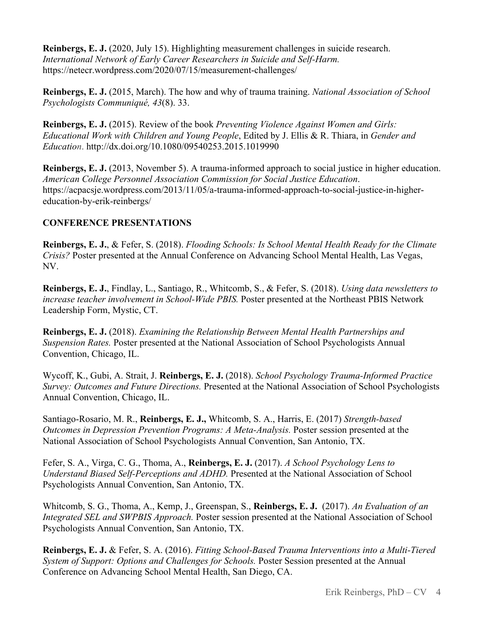**Reinbergs, E. J.** (2020, July 15). Highlighting measurement challenges in suicide research. *International Network of Early Career Researchers in Suicide and Self-Harm.* https://netecr.wordpress.com/2020/07/15/measurement-challenges/

**Reinbergs, E. J.** (2015, March). The how and why of trauma training. *National Association of School Psychologists Communiqué, 43*(8). 33.

**Reinbergs, E. J.** (2015). Review of the book *Preventing Violence Against Women and Girls: Educational Work with Children and Young People*, Edited by J. Ellis & R. Thiara, in *Gender and Education*. http://dx.doi.org/10.1080/09540253.2015.1019990

**Reinbergs, E. J.** (2013, November 5). A trauma-informed approach to social justice in higher education. *American College Personnel Association Commission for Social Justice Education*. https://acpacsje.wordpress.com/2013/11/05/a-trauma-informed-approach-to-social-justice-in-highereducation-by-erik-reinbergs/

## **CONFERENCE PRESENTATIONS**

**Reinbergs, E. J.**, & Fefer, S. (2018). *Flooding Schools: Is School Mental Health Ready for the Climate Crisis?* Poster presented at the Annual Conference on Advancing School Mental Health, Las Vegas, NV.

**Reinbergs, E. J.**, Findlay, L., Santiago, R., Whitcomb, S., & Fefer, S. (2018). *Using data newsletters to increase teacher involvement in School-Wide PBIS.* Poster presented at the Northeast PBIS Network Leadership Form, Mystic, CT.

**Reinbergs, E. J.** (2018). *Examining the Relationship Between Mental Health Partnerships and Suspension Rates.* Poster presented at the National Association of School Psychologists Annual Convention, Chicago, IL.

Wycoff, K., Gubi, A. Strait, J. **Reinbergs, E. J.** (2018). *School Psychology Trauma-Informed Practice Survey: Outcomes and Future Directions.* Presented at the National Association of School Psychologists Annual Convention, Chicago, IL.

Santiago-Rosario, M. R., **Reinbergs, E. J.,** Whitcomb, S. A., Harris, E. (2017) *Strength-based Outcomes in Depression Prevention Programs: A Meta-Analysis.* Poster session presented at the National Association of School Psychologists Annual Convention, San Antonio, TX.

Fefer, S. A., Virga, C. G., Thoma, A., **Reinbergs, E. J.** (2017). *A School Psychology Lens to Understand Biased Self-Perceptions and ADHD.* Presented at the National Association of School Psychologists Annual Convention, San Antonio, TX.

Whitcomb, S. G., Thoma, A., Kemp, J., Greenspan, S., **Reinbergs, E. J.** (2017). *An Evaluation of an Integrated SEL and SWPBIS Approach.* Poster session presented at the National Association of School Psychologists Annual Convention, San Antonio, TX.

**Reinbergs, E. J.** & Fefer, S. A. (2016). *Fitting School-Based Trauma Interventions into a Multi-Tiered System of Support: Options and Challenges for Schools.* Poster Session presented at the Annual Conference on Advancing School Mental Health, San Diego, CA.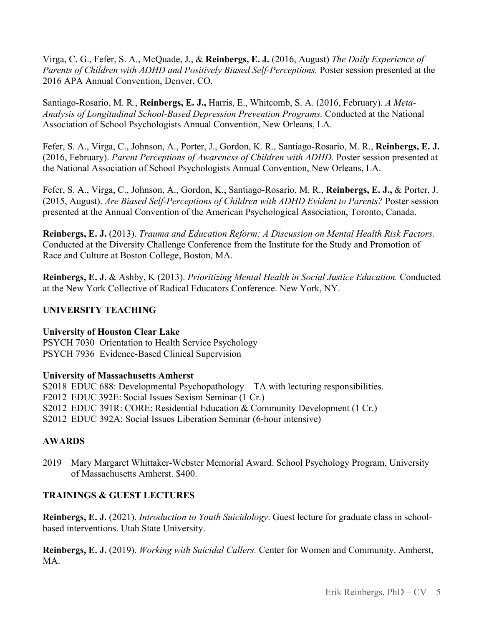Virga, C. G., Fefer, S. A., McQuade, J., & **Reinbergs, E. J.** (2016, August) *The Daily Experience of Parents of Children with ADHD and Positively Biased Self-Perceptions.* Poster session presented at the 2016 APA Annual Convention, Denver, CO.

Santiago-Rosario, M. R., **Reinbergs, E. J.,** Harris, E., Whitcomb, S. A. (2016, February). *A Meta-Analysis of Longitudinal School-Based Depression Prevention Programs.* Conducted at the National Association of School Psychologists Annual Convention, New Orleans, LA.

Fefer, S. A., Virga, C., Johnson, A., Porter, J., Gordon, K. R., Santiago-Rosario, M. R., **Reinbergs, E. J.** (2016, February). *Parent Perceptions of Awareness of Children with ADHD.* Poster session presented at the National Association of School Psychologists Annual Convention, New Orleans, LA.

Fefer, S. A., Virga, C., Johnson, A., Gordon, K., Santiago-Rosario, M. R., **Reinbergs, E. J.,** & Porter, J. (2015, August). *Are Biased Self-Perceptions of Children with ADHD Evident to Parents?* Poster session presented at the Annual Convention of the American Psychological Association, Toronto, Canada.

**Reinbergs, E. J.** (2013). *Trauma and Education Reform: A Discussion on Mental Health Risk Factors.* Conducted at the Diversity Challenge Conference from the Institute for the Study and Promotion of Race and Culture at Boston College, Boston, MA.

**Reinbergs, E. J.** & Ashby, K (2013). *Prioritizing Mental Health in Social Justice Education.* Conducted at the New York Collective of Radical Educators Conference. New York, NY.

## **UNIVERSITY TEACHING**

### **University of Houston Clear Lake**

PSYCH 7030 Orientation to Health Service Psychology PSYCH 7936 Evidence-Based Clinical Supervision

### **University of Massachusetts Amherst**

S2018 EDUC 688: Developmental Psychopathology – TA with lecturing responsibilities. F2012 EDUC 392E: Social Issues Sexism Seminar (1 Cr.) S2012 EDUC 391R: CORE: Residential Education & Community Development (1 Cr.) S2012 EDUC 392A: Social Issues Liberation Seminar (6-hour intensive)

# **AWARDS**

2019 Mary Margaret Whittaker-Webster Memorial Award. School Psychology Program, University of Massachusetts Amherst. \$400.

### **TRAININGS & GUEST LECTURES**

**Reinbergs, E. J.** (2021). *Introduction to Youth Suicidology*. Guest lecture for graduate class in schoolbased interventions. Utah State University.

**Reinbergs, E. J.** (2019). *Working with Suicidal Callers.* Center for Women and Community. Amherst, MA.